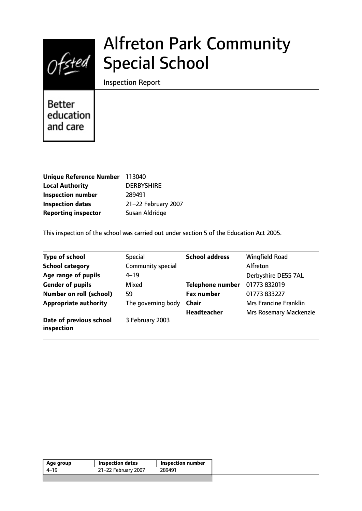

# Alfreton Park Community Special School

Inspection Report

**Better** education and care

| Unique Reference Number 113040 |                     |
|--------------------------------|---------------------|
| <b>Local Authority</b>         | <b>DERBYSHIRE</b>   |
| <b>Inspection number</b>       | 289491              |
| <b>Inspection dates</b>        | 21-22 February 2007 |
| <b>Reporting inspector</b>     | Susan Aldridge      |

This inspection of the school was carried out under section 5 of the Education Act 2005.

| <b>Type of school</b>                 | <b>Special</b>     | <b>School address</b>   | <b>Wingfield Road</b>         |
|---------------------------------------|--------------------|-------------------------|-------------------------------|
| <b>School category</b>                | Community special  |                         | Alfreton                      |
| Age range of pupils                   | $4 - 19$           |                         | Derbyshire DE55 7AL           |
| <b>Gender of pupils</b>               | Mixed              | <b>Telephone number</b> | 01773 832019                  |
| <b>Number on roll (school)</b>        | 59                 | <b>Fax number</b>       | 01773 833227                  |
| <b>Appropriate authority</b>          | The governing body | <b>Chair</b>            | <b>Mrs Francine Franklin</b>  |
|                                       |                    | <b>Headteacher</b>      | <b>Mrs Rosemary Mackenzie</b> |
| Date of previous school<br>inspection | 3 February 2003    |                         |                               |

| 21-22 February 2007<br>289491<br>4–19 | Age group | <b>Inspection dates</b> | <b>Inspection number</b> |  |
|---------------------------------------|-----------|-------------------------|--------------------------|--|
|                                       |           |                         |                          |  |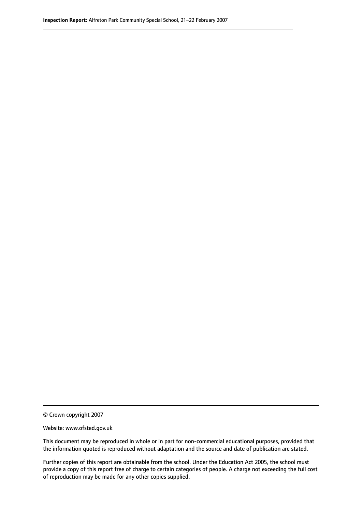© Crown copyright 2007

Website: www.ofsted.gov.uk

This document may be reproduced in whole or in part for non-commercial educational purposes, provided that the information quoted is reproduced without adaptation and the source and date of publication are stated.

Further copies of this report are obtainable from the school. Under the Education Act 2005, the school must provide a copy of this report free of charge to certain categories of people. A charge not exceeding the full cost of reproduction may be made for any other copies supplied.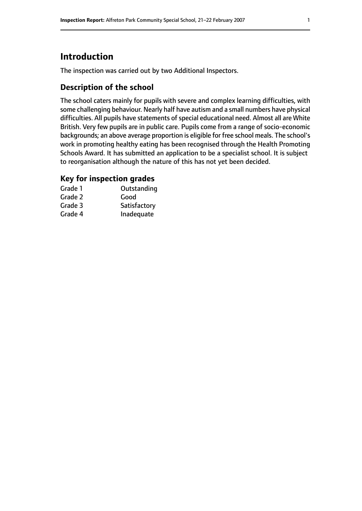# **Introduction**

The inspection was carried out by two Additional Inspectors.

## **Description of the school**

The school caters mainly for pupils with severe and complex learning difficulties, with some challenging behaviour. Nearly half have autism and a small numbers have physical difficulties. All pupils have statements of special educational need. Almost all are White British. Very few pupils are in public care. Pupils come from a range of socio-economic backgrounds; an above average proportion is eligible for free school meals. The school's work in promoting healthy eating has been recognised through the Health Promoting Schools Award. It has submitted an application to be a specialist school. It is subject to reorganisation although the nature of this has not yet been decided.

## **Key for inspection grades**

| Grade 1 | Outstanding  |
|---------|--------------|
| Grade 2 | Good         |
| Grade 3 | Satisfactory |
| Grade 4 | Inadequate   |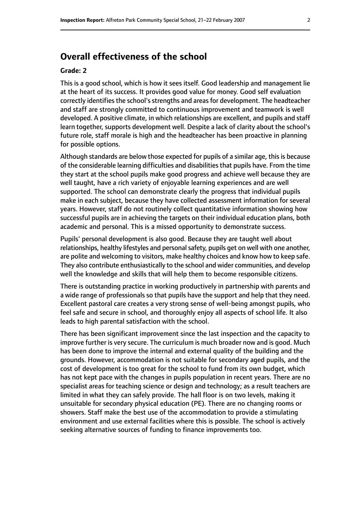# **Overall effectiveness of the school**

#### **Grade: 2**

This is a good school, which is how it sees itself. Good leadership and management lie at the heart of its success. It provides good value for money. Good self evaluation correctly identifies the school's strengths and areas for development. The headteacher and staff are strongly committed to continuous improvement and teamwork is well developed. A positive climate, in which relationships are excellent, and pupils and staff learn together, supports development well. Despite a lack of clarity about the school's future role, staff morale is high and the headteacher has been proactive in planning for possible options.

Although standards are below those expected for pupils of a similar age, this is because of the considerable learning difficulties and disabilities that pupils have. From the time they start at the school pupils make good progress and achieve well because they are well taught, have a rich variety of enjoyable learning experiences and are well supported. The school can demonstrate clearly the progress that individual pupils make in each subject, because they have collected assessment information for several years. However, staff do not routinely collect quantitative information showing how successful pupils are in achieving the targets on their individual education plans, both academic and personal. This is a missed opportunity to demonstrate success.

Pupils' personal development is also good. Because they are taught well about relationships, healthy lifestyles and personal safety, pupils get on well with one another, are polite and welcoming to visitors, make healthy choices and know how to keep safe. They also contribute enthusiastically to the school and wider communities, and develop well the knowledge and skills that will help them to become responsible citizens.

There is outstanding practice in working productively in partnership with parents and a wide range of professionals so that pupils have the support and help that they need. Excellent pastoral care creates a very strong sense of well-being amongst pupils, who feel safe and secure in school, and thoroughly enjoy all aspects of school life. It also leads to high parental satisfaction with the school.

There has been significant improvement since the last inspection and the capacity to improve further is very secure. The curriculum is much broader now and is good. Much has been done to improve the internal and external quality of the building and the grounds. However, accommodation is not suitable for secondary aged pupils, and the cost of development is too great for the school to fund from its own budget, which has not kept pace with the changes in pupils population in recent years. There are no specialist areas for teaching science or design and technology; as a result teachers are limited in what they can safely provide. The hall floor is on two levels, making it unsuitable for secondary physical education (PE). There are no changing rooms or showers. Staff make the best use of the accommodation to provide a stimulating environment and use external facilities where this is possible. The school is actively seeking alternative sources of funding to finance improvements too.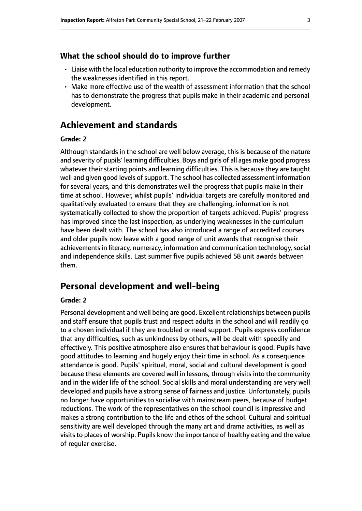#### **What the school should do to improve further**

- Liaise with the local education authority to improve the accommodation and remedy the weaknesses identified in this report.
- Make more effective use of the wealth of assessment information that the school has to demonstrate the progress that pupils make in their academic and personal development.

## **Achievement and standards**

#### **Grade: 2**

Although standards in the school are well below average, this is because of the nature and severity of pupils' learning difficulties. Boys and girls of all ages make good progress whatever their starting points and learning difficulties. This is because they are taught well and given good levels of support. The school has collected assessment information for several years, and this demonstrates well the progress that pupils make in their time at school. However, whilst pupils' individual targets are carefully monitored and qualitatively evaluated to ensure that they are challenging, information is not systematically collected to show the proportion of targets achieved. Pupils' progress has improved since the last inspection, as underlying weaknesses in the curriculum have been dealt with. The school has also introduced a range of accredited courses and older pupils now leave with a good range of unit awards that recognise their achievements in literacy, numeracy, information and communication technology, social and independence skills. Last summer five pupils achieved 58 unit awards between them.

#### **Personal development and well-being**

#### **Grade: 2**

Personal development and well being are good. Excellent relationships between pupils and staff ensure that pupils trust and respect adults in the school and will readily go to a chosen individual if they are troubled or need support. Pupils express confidence that any difficulties, such as unkindness by others, will be dealt with speedily and effectively. This positive atmosphere also ensures that behaviour is good. Pupils have good attitudes to learning and hugely enjoy their time in school. As a consequence attendance is good. Pupils' spiritual, moral, social and cultural development is good because these elements are covered well in lessons, through visits into the community and in the wider life of the school. Social skills and moral understanding are very well developed and pupils have a strong sense of fairness and justice. Unfortunately, pupils no longer have opportunities to socialise with mainstream peers, because of budget reductions. The work of the representatives on the school council is impressive and makes a strong contribution to the life and ethos of the school. Cultural and spiritual sensitivity are well developed through the many art and drama activities, as well as visits to places of worship. Pupils know the importance of healthy eating and the value of regular exercise.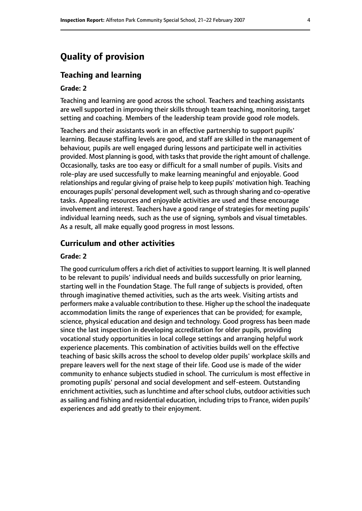# **Quality of provision**

#### **Teaching and learning**

#### **Grade: 2**

Teaching and learning are good across the school. Teachers and teaching assistants are well supported in improving their skills through team teaching, monitoring, target setting and coaching. Members of the leadership team provide good role models.

Teachers and their assistants work in an effective partnership to support pupils' learning. Because staffing levels are good, and staff are skilled in the management of behaviour, pupils are well engaged during lessons and participate well in activities provided. Most planning is good, with tasksthat provide the right amount of challenge. Occasionally, tasks are too easy or difficult for a small number of pupils. Visits and role-play are used successfully to make learning meaningful and enjoyable. Good relationships and regular giving of praise help to keep pupils' motivation high. Teaching encourages pupils' personal development well, such as through sharing and co-operative tasks. Appealing resources and enjoyable activities are used and these encourage involvement and interest. Teachers have a good range of strategies for meeting pupils' individual learning needs, such as the use of signing, symbols and visual timetables. As a result, all make equally good progress in most lessons.

#### **Curriculum and other activities**

#### **Grade: 2**

The good curriculum offers a rich diet of activities to support learning. It is well planned to be relevant to pupils' individual needs and builds successfully on prior learning, starting well in the Foundation Stage. The full range of subjects is provided, often through imaginative themed activities, such as the arts week. Visiting artists and performers make a valuable contribution to these. Higher up the school the inadequate accommodation limits the range of experiences that can be provided; for example, science, physical education and design and technology. Good progress has been made since the last inspection in developing accreditation for older pupils, providing vocational study opportunities in local college settings and arranging helpful work experience placements. This combination of activities builds well on the effective teaching of basic skills across the school to develop older pupils' workplace skills and prepare leavers well for the next stage of their life. Good use is made of the wider community to enhance subjects studied in school. The curriculum is most effective in promoting pupils' personal and social development and self-esteem. Outstanding enrichment activities, such as lunchtime and after school clubs, outdoor activities such as sailing and fishing and residential education, including trips to France, widen pupils' experiences and add greatly to their enjoyment.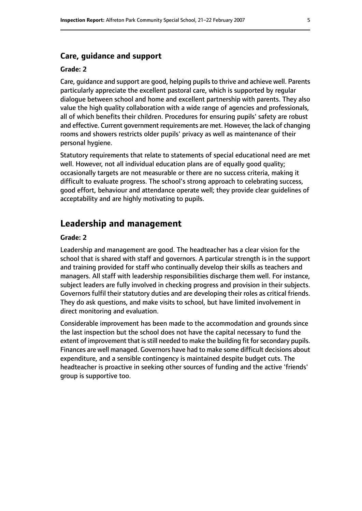#### **Care, guidance and support**

#### **Grade: 2**

Care, guidance and support are good, helping pupilsto thrive and achieve well. Parents particularly appreciate the excellent pastoral care, which is supported by regular dialogue between school and home and excellent partnership with parents. They also value the high quality collaboration with a wide range of agencies and professionals, all of which benefits their children. Procedures for ensuring pupils' safety are robust and effective. Current government requirements are met. However, the lack of changing rooms and showers restricts older pupils' privacy as well as maintenance of their personal hygiene.

Statutory requirements that relate to statements of special educational need are met well. However, not all individual education plans are of equally good quality; occasionally targets are not measurable or there are no success criteria, making it difficult to evaluate progress. The school's strong approach to celebrating success, good effort, behaviour and attendance operate well; they provide clear guidelines of acceptability and are highly motivating to pupils.

## **Leadership and management**

#### **Grade: 2**

Leadership and management are good. The headteacher has a clear vision for the school that is shared with staff and governors. A particular strength is in the support and training provided for staff who continually develop their skills as teachers and managers. All staff with leadership responsibilities discharge them well. For instance, subject leaders are fully involved in checking progress and provision in their subjects. Governors fulfil their statutory duties and are developing their roles as critical friends. They do ask questions, and make visits to school, but have limited involvement in direct monitoring and evaluation.

Considerable improvement has been made to the accommodation and grounds since the last inspection but the school does not have the capital necessary to fund the extent of improvement that is still needed to make the building fit for secondary pupils. Finances are well managed. Governors have had to make some difficult decisions about expenditure, and a sensible contingency is maintained despite budget cuts. The headteacher is proactive in seeking other sources of funding and the active 'friends' group is supportive too.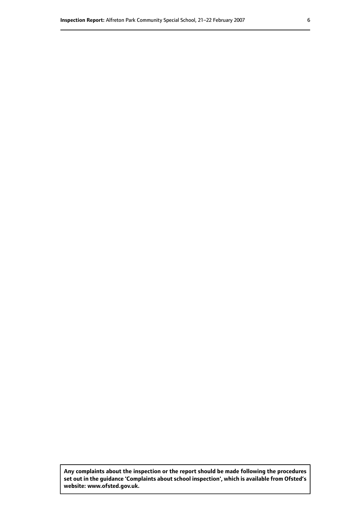**Any complaints about the inspection or the report should be made following the procedures set out inthe guidance 'Complaints about school inspection', whichis available from Ofsted's website: www.ofsted.gov.uk.**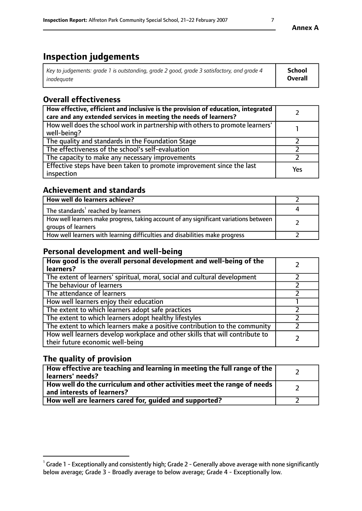# **Inspection judgements**

| Key to judgements: grade 1 is outstanding, grade 2 good, grade 3 satisfactory, and grade 4 | School         |
|--------------------------------------------------------------------------------------------|----------------|
| inadeauate                                                                                 | <b>Overall</b> |

# **Overall effectiveness**

| How effective, efficient and inclusive is the provision of education, integrated<br>care and any extended services in meeting the needs of learners? |     |
|------------------------------------------------------------------------------------------------------------------------------------------------------|-----|
| How well does the school work in partnership with others to promote learners'<br>well-being?                                                         |     |
| The quality and standards in the Foundation Stage                                                                                                    |     |
| The effectiveness of the school's self-evaluation                                                                                                    |     |
| The capacity to make any necessary improvements                                                                                                      |     |
| Effective steps have been taken to promote improvement since the last<br>inspection                                                                  | Yes |

# **Achievement and standards**

| How well do learners achieve?                                                                               |  |
|-------------------------------------------------------------------------------------------------------------|--|
| The standards <sup>1</sup> reached by learners                                                              |  |
| How well learners make progress, taking account of any significant variations between<br>groups of learners |  |
| How well learners with learning difficulties and disabilities make progress                                 |  |

# **Personal development and well-being**

| How good is the overall personal development and well-being of the<br>learners?                                  |  |
|------------------------------------------------------------------------------------------------------------------|--|
| The extent of learners' spiritual, moral, social and cultural development                                        |  |
| The behaviour of learners                                                                                        |  |
| The attendance of learners                                                                                       |  |
| How well learners enjoy their education                                                                          |  |
| The extent to which learners adopt safe practices                                                                |  |
| The extent to which learners adopt healthy lifestyles                                                            |  |
| The extent to which learners make a positive contribution to the community                                       |  |
| How well learners develop workplace and other skills that will contribute to<br>their future economic well-being |  |

# **The quality of provision**

| How effective are teaching and learning in meeting the full range of the<br>  learners' needs?                      |  |
|---------------------------------------------------------------------------------------------------------------------|--|
| $\mid$ How well do the curriculum and other activities meet the range of needs<br>$\mid$ and interests of learners? |  |
| How well are learners cared for, guided and supported?                                                              |  |

 $^1$  Grade 1 - Exceptionally and consistently high; Grade 2 - Generally above average with none significantly below average; Grade 3 - Broadly average to below average; Grade 4 - Exceptionally low.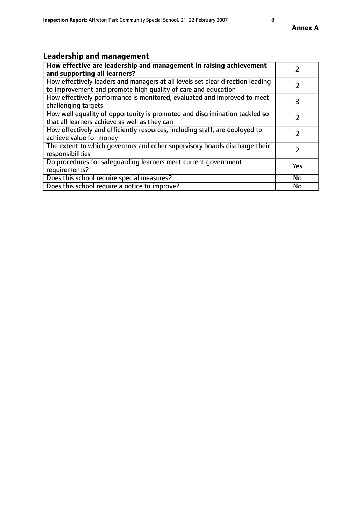# **Leadership and management**

| How effective are leadership and management in raising achievement<br>and supporting all learners?                                              |           |
|-------------------------------------------------------------------------------------------------------------------------------------------------|-----------|
| How effectively leaders and managers at all levels set clear direction leading<br>to improvement and promote high quality of care and education |           |
| How effectively performance is monitored, evaluated and improved to meet<br>challenging targets                                                 | 3         |
| How well equality of opportunity is promoted and discrimination tackled so<br>that all learners achieve as well as they can                     |           |
| How effectively and efficiently resources, including staff, are deployed to<br>achieve value for money                                          |           |
| The extent to which governors and other supervisory boards discharge their<br>responsibilities                                                  |           |
| Do procedures for safequarding learners meet current government<br>requirements?                                                                | Yes       |
| Does this school require special measures?                                                                                                      | No        |
| Does this school require a notice to improve?                                                                                                   | <b>No</b> |